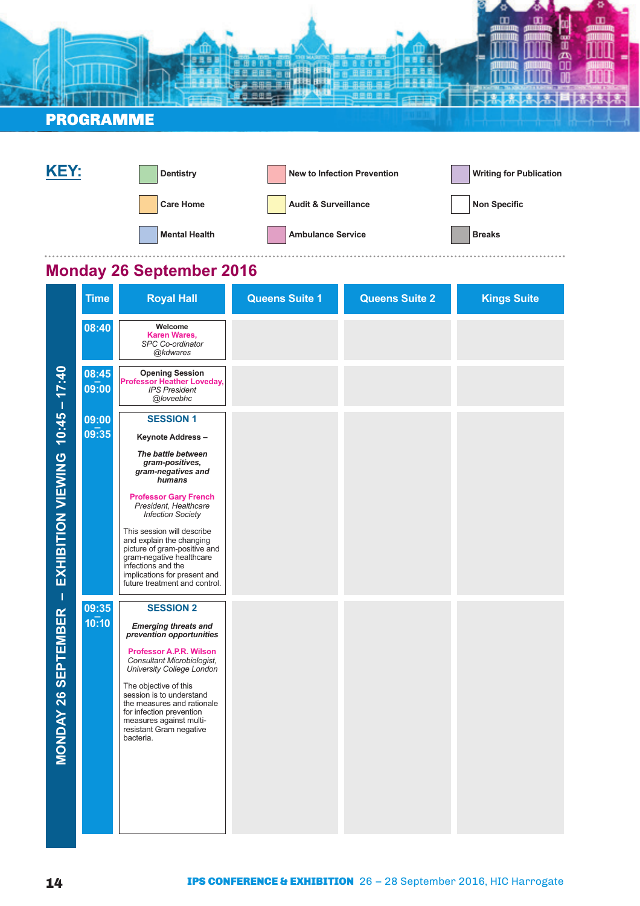| <b>PROGRAMME</b> |  |  |  |
|------------------|--|--|--|
|                  |  |  |  |
|                  |  |  |  |



. . . . . . . . . . . . . . .

### **Monday 26 September 2016**

|                                  | <b>Time</b>    | <b>Royal Hall</b>                                                                                                                                                                                                                                                                                                                      | <b>Queens Suite 1</b> | <b>Queens Suite 2</b> | <b>Kings Suite</b> |
|----------------------------------|----------------|----------------------------------------------------------------------------------------------------------------------------------------------------------------------------------------------------------------------------------------------------------------------------------------------------------------------------------------|-----------------------|-----------------------|--------------------|
|                                  | 08:40          | Welcome<br><b>Karen Wares,</b><br>SPC Co-ordinator<br>@kdwares                                                                                                                                                                                                                                                                         |                       |                       |                    |
|                                  | 08:45<br>09:00 | <b>Opening Session</b><br><b>Professor Heather Loveday,</b><br><b>IPS President</b><br>@loveebhc                                                                                                                                                                                                                                       |                       |                       |                    |
|                                  | 09:00<br>09:35 | <b>SESSION 1</b><br>Keynote Address-                                                                                                                                                                                                                                                                                                   |                       |                       |                    |
|                                  |                | The battle between<br>gram-positives,<br>gram-negatives and<br>humans                                                                                                                                                                                                                                                                  |                       |                       |                    |
|                                  |                | <b>Professor Gary French</b><br>President, Healthcare<br><b>Infection Society</b>                                                                                                                                                                                                                                                      |                       |                       |                    |
| EXHIBITION VIEWING 10:45 - 17:40 |                | This session will describe<br>and explain the changing<br>picture of gram-positive and<br>gram-negative healthcare<br>infections and the<br>implications for present and<br>future treatment and control.                                                                                                                              |                       |                       |                    |
| $\mathbf{I}$                     | 09:35          | <b>SESSION 2</b>                                                                                                                                                                                                                                                                                                                       |                       |                       |                    |
| <b>MONDAY 26 SEPTEMBER</b>       | 10:10          | <b>Emerging threats and</b><br>prevention opportunities<br><b>Professor A.P.R. Wilson</b><br>Consultant Microbiologist,<br>University College London<br>The objective of this<br>session is to understand<br>the measures and rationale<br>for infection prevention<br>measures against multi-<br>resistant Gram negative<br>bacteria. |                       |                       |                    |
|                                  |                |                                                                                                                                                                                                                                                                                                                                        |                       |                       |                    |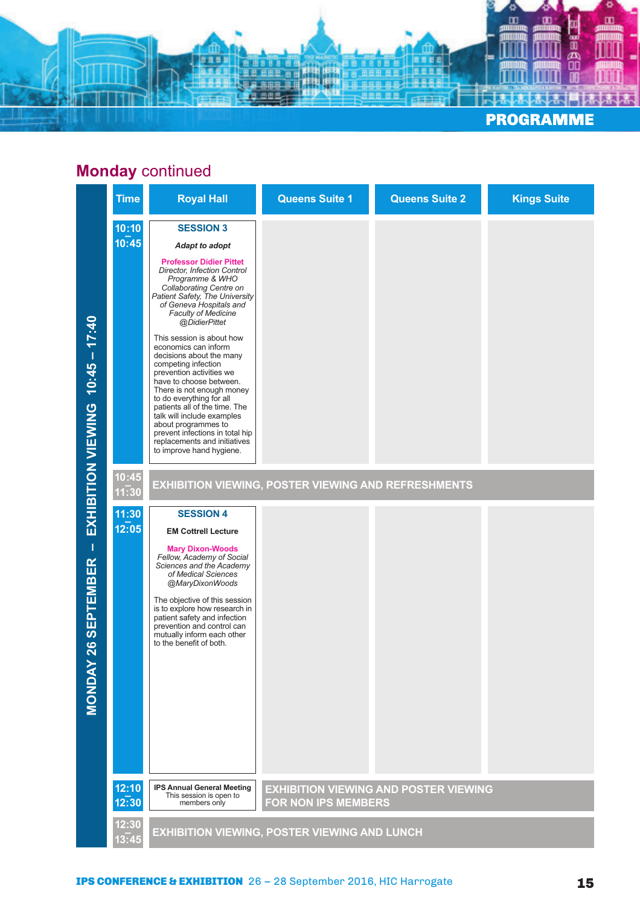

# **Monday** continued

|                                       | <b>Time</b>    | <b>Royal Hall</b>                                                                                                                                                                                                                                                                                                                                                                                                                                                                                                                                                                                                                                                          | <b>Queens Suite 1</b>                               | <b>Queens Suite 2</b>                        | <b>Kings Suite</b> |
|---------------------------------------|----------------|----------------------------------------------------------------------------------------------------------------------------------------------------------------------------------------------------------------------------------------------------------------------------------------------------------------------------------------------------------------------------------------------------------------------------------------------------------------------------------------------------------------------------------------------------------------------------------------------------------------------------------------------------------------------------|-----------------------------------------------------|----------------------------------------------|--------------------|
| $10:45 - 17:40$<br>EXHIBITION VIEWING | 10:10<br>10:45 | <b>SESSION 3</b><br>Adapt to adopt<br><b>Professor Didier Pittet</b><br>Director, Infection Control<br>Programme & WHO<br>Collaborating Centre on<br>Patient Safety, The University<br>of Geneva Hospitals and<br><b>Faculty of Medicine</b><br>@DidierPittet<br>This session is about how<br>economics can inform<br>decisions about the many<br>competing infection<br>prevention activities we<br>have to choose between.<br>There is not enough money<br>to do everything for all<br>patients all of the time. The<br>talk will include examples<br>about programmes to<br>prevent infections in total hip<br>replacements and initiatives<br>to improve hand hygiene. |                                                     |                                              |                    |
|                                       | 10:45<br>11:30 |                                                                                                                                                                                                                                                                                                                                                                                                                                                                                                                                                                                                                                                                            | EXHIBITION VIEWING, POSTER VIEWING AND REFRESHMENTS |                                              |                    |
| Т<br>26 SEPTEMBER<br><b>MONDAY</b>    | 11:30<br>12:05 | <b>SESSION 4</b><br><b>EM Cottrell Lecture</b><br><b>Mary Dixon-Woods</b><br>Fellow, Academy of Social<br>Sciences and the Academy<br>of Medical Sciences<br>@MaryDixonWoods<br>The objective of this session<br>is to explore how research in<br>patient safety and infection<br>prevention and control can<br>mutually inform each other<br>to the benefit of both.                                                                                                                                                                                                                                                                                                      |                                                     |                                              |                    |
|                                       | 12:10<br>12:30 | <b>IPS Annual General Meeting</b><br>This session is open to<br>members only                                                                                                                                                                                                                                                                                                                                                                                                                                                                                                                                                                                               | FOR NON IPS MEMBERS                                 | <b>EXHIBITION VIEWING AND POSTER VIEWING</b> |                    |
|                                       | 12:30<br>13.45 |                                                                                                                                                                                                                                                                                                                                                                                                                                                                                                                                                                                                                                                                            | <b>EXHIBITION VIEWING, POSTER VIEWING AND LUNCH</b> |                                              |                    |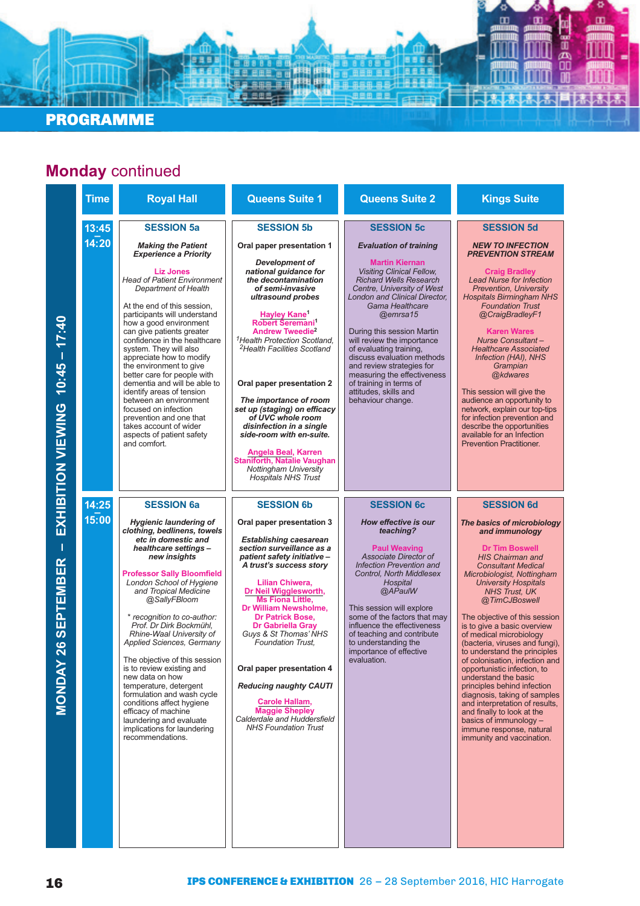#### PROGRAMME

### **Monday** continued

房房房

n Boot on Alban<br>La Boot on Mission<br>La Boot on Mission

| <b>Time</b>    | <b>Royal Hall</b>                                                                                                                                                                                                                                                                                                                                                                                                                                                                                                                                                                                                                                               | <b>Queens Suite 1</b>                                                                                                                                                                                                                                                                                                                                                                                                                                                                                                                                                                                                                             | <b>Queens Suite 2</b>                                                                                                                                                                                                                                                                                                                                                                                                                                                                                           | <b>Kings Suite</b>                                                                                                                                                                                                                                                                                                                                                                                                                                                                                                                                                                                                                                                                                                               |
|----------------|-----------------------------------------------------------------------------------------------------------------------------------------------------------------------------------------------------------------------------------------------------------------------------------------------------------------------------------------------------------------------------------------------------------------------------------------------------------------------------------------------------------------------------------------------------------------------------------------------------------------------------------------------------------------|---------------------------------------------------------------------------------------------------------------------------------------------------------------------------------------------------------------------------------------------------------------------------------------------------------------------------------------------------------------------------------------------------------------------------------------------------------------------------------------------------------------------------------------------------------------------------------------------------------------------------------------------------|-----------------------------------------------------------------------------------------------------------------------------------------------------------------------------------------------------------------------------------------------------------------------------------------------------------------------------------------------------------------------------------------------------------------------------------------------------------------------------------------------------------------|----------------------------------------------------------------------------------------------------------------------------------------------------------------------------------------------------------------------------------------------------------------------------------------------------------------------------------------------------------------------------------------------------------------------------------------------------------------------------------------------------------------------------------------------------------------------------------------------------------------------------------------------------------------------------------------------------------------------------------|
| 13:45<br>14:20 | <b>SESSION 5a</b><br><b>Making the Patient</b><br><b>Experience a Priority</b><br><b>Liz Jones</b><br><b>Head of Patient Environment</b><br>Department of Health<br>At the end of this session,<br>participants will understand<br>how a good environment<br>can give patients greater<br>confidence in the healthcare<br>system. They will also<br>appreciate how to modify<br>the environment to give<br>better care for people with<br>dementia and will be able to<br>identify areas of tension<br>between an environment<br>focused on infection<br>prevention and one that<br>takes account of wider<br>aspects of patient safety<br>and comfort.         | <b>SESSION 5b</b><br>Oral paper presentation 1<br><b>Development of</b><br>national guidance for<br>the decontamination<br>of semi-invasive<br>ultrasound probes<br><b>Hayley Kane</b><br>Robert Seremani <sup>1</sup><br><b>Andrew Tweedie<sup>2</sup></b><br><sup>1</sup> Health Protection Scotland,<br><sup>2</sup> Health Facilities Scotland<br>Oral paper presentation 2<br>The importance of room<br>set up (staging) on efficacy<br>of UVC whole room<br>disinfection in a single<br>side-room with en-suite.<br><b>Angela Beal, Karren</b><br><b>Staniforth, Natalie Vaughan</b><br>Nottingham University<br><b>Hospitals NHS Trust</b> | <b>SESSION 5c</b><br><b>Evaluation of training</b><br><b>Martin Kiernan</b><br><b>Visiting Clinical Fellow,</b><br><b>Richard Wells Research</b><br>Centre, University of West<br><b>London and Clinical Director,</b><br>Gama Healthcare<br>@emrsa15<br>During this session Martin<br>will review the importance<br>of evaluating training,<br>discuss evaluation methods<br>and review strategies for<br>measuring the effectiveness<br>of training in terms of<br>attitudes, skills and<br>behaviour change. | <b>SESSION 5d</b><br><b>NEW TO INFECTION</b><br><b>PREVENTION STREAM</b><br><b>Craig Bradley</b><br><b>Lead Nurse for Infection</b><br><b>Prevention, University</b><br><b>Hospitals Birmingham NHS</b><br><b>Foundation Trust</b><br>@CraigBradleyF1<br><b>Karen Wares</b><br><b>Nurse Consultant-</b><br><b>Healthcare Associated</b><br>Infection (HAI), NHS<br>Grampian<br>@kdwares<br>This session will give the<br>audience an opportunity to<br>network, explain our top-tips<br>for infection prevention and<br>describe the opportunities<br>available for an Infection<br><b>Prevention Practitioner.</b>                                                                                                              |
| 14:25<br>15:00 | <b>SESSION 6a</b><br><b>Hygienic laundering of</b><br>clothing, bedlinens, towels<br>etc in domestic and<br>healthcare settings-<br>new insights<br><b>Professor Sally Bloomfield</b><br>London School of Hygiene<br>and Tropical Medicine<br>@SallyFBloom<br>* recognition to co-author:<br>Prof. Dr Dirk Bockmühl,<br>Rhine-Waal University of<br><b>Applied Sciences, Germany</b><br>The objective of this session<br>is to review existing and<br>new data on how<br>temperature, detergent<br>formulation and wash cycle<br>conditions affect hygiene<br>efficacy of machine<br>laundering and evaluate<br>implications for laundering<br>recommendations. | <b>SESSION 6b</b><br>Oral paper presentation 3<br><b>Establishing caesarean</b><br>section surveillance as a<br>patient safety initiative -<br>A trust's success story<br>Lilian Chiwera,<br>Dr Neil Wigglesworth,<br><b>Ms Fiona Little,</b><br>Dr William Newsholme,<br><b>Dr Patrick Bose,</b><br><b>Dr Gabriella Gray</b><br>Guys & St Thomas' NHS<br><b>Foundation Trust.</b><br>Oral paper presentation 4<br><b>Reducing naughty CAUTI</b><br>Carole Hallam,<br><b>Maggie Shepley</b><br>Calderdale and Huddersfield<br><b>NHS Foundation Trust</b>                                                                                         | <b>SESSION 6c</b><br>How effective is our<br>teaching?<br><b>Paul Weaving</b><br>Associate Director of<br>Infection Prevention and<br><b>Control, North Middlesex</b><br>Hospital<br>@APaulW<br>This session will explore<br>some of the factors that may<br>influence the effectiveness<br>of teaching and contribute<br>to understanding the<br>importance of effective<br>evaluation.                                                                                                                        | <b>SESSION 6d</b><br>The basics of microbiology<br>and immunology<br><b>Dr Tim Boswell</b><br><b>HIS Chairman and</b><br><b>Consultant Medical</b><br>Microbiologist, Nottingham<br><b>University Hospitals</b><br><b>NHS Trust, UK</b><br>@TimCJBoswell<br>The objective of this session<br>is to give a basic overview<br>of medical microbiology<br>(bacteria, viruses and fungi),<br>to understand the principles<br>of colonisation, infection and<br>opportunistic infection, to<br>understand the basic<br>principles behind infection<br>diagnosis, taking of samples<br>and interpretation of results,<br>and finally to look at the<br>basics of immunology -<br>immune response, natural<br>immunity and vaccination. |

ø

œ

ø œ

α

四番

蕊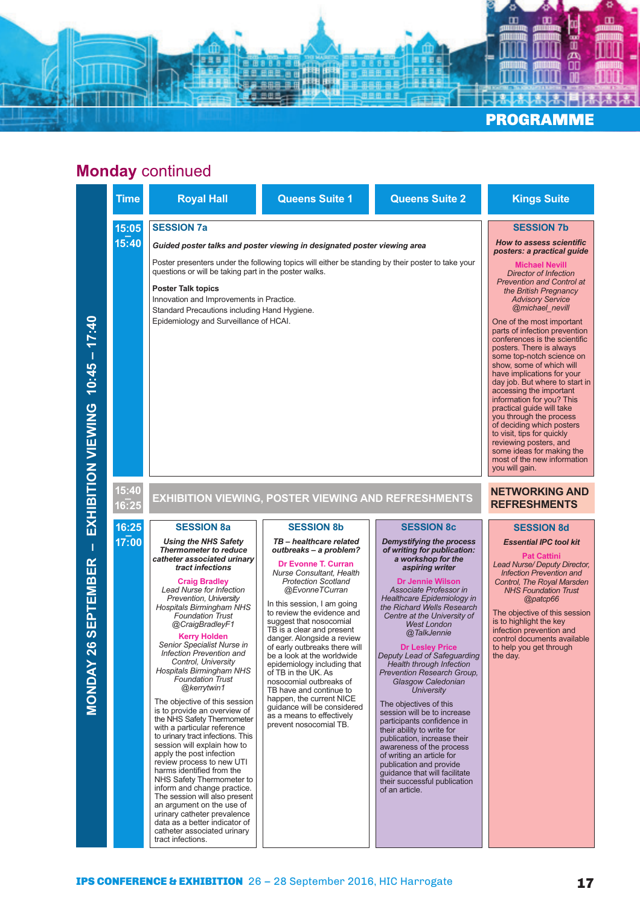

#### **Monday** continued

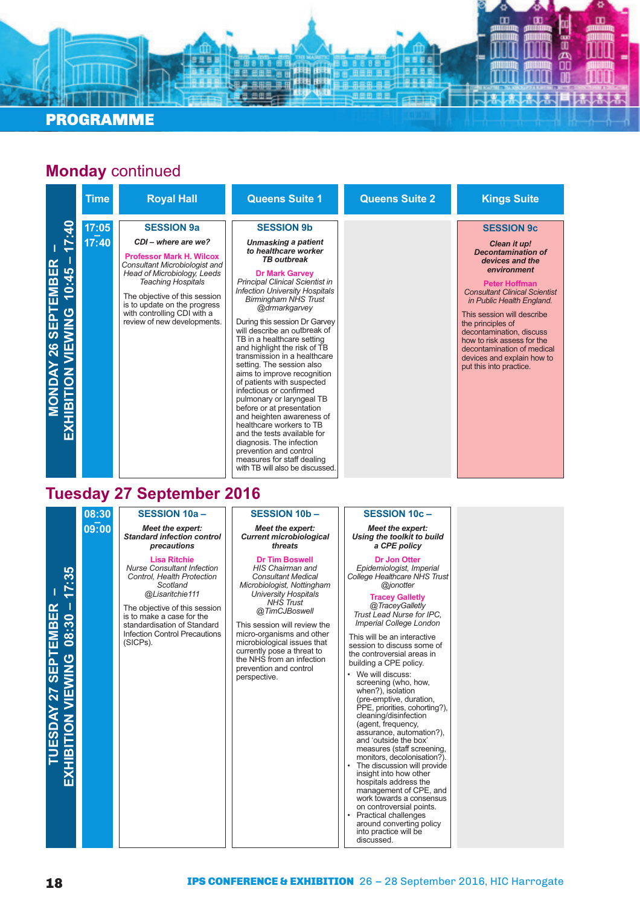

#### **SESSION 9a** *CDI – where are we?* **Professor Mark H. Wilcox** *Consultant Microbiologist and Head of Microbiology, Leeds Teaching Hospitals* The objective of this session is to update on the progress with controlling CDI with a review of new developments. **SESSION 9b** *Unmasking a patient to healthcare worker TB outbreak* **Dr Mark Garvey** *Principal Clinical Scientist in Infection University Hospitals Birmingham NHS Trust @drmarkgarvey* During this session Dr Garvey will describe an outbreak of TB in a healthcare setting and highlight the risk of TB transmission in a healthcare setting. The session also aims to improve recognition of patients with suspected infectious or confirmed pulmonary or laryngeal TB before or at presentation and heighten awareness of healthcare workers to TB and the tests available for diagnosis. The infection prevention and control measures for staff dealing with TB will also be discussed **SESSION 9c** *Clean it up! Decontamination of devices and the environment* **Peter Hoffman** *Consultant Clinical Scientist in Public Health England.* This session will describe the principles of decontamination, discuss how to risk assess for the decontamination of medical devices and explain how to put this into practice. **17:05 – 17:40 Monday** continued **MONDAY 26 SEPTEMBER – EXHIBITION VIEWING 10:45 – 17:40 Time Royal Hall Queens Suite 1 Queens Suite 2 Kings Suite**

#### **Tuesday 27 September 2016**

**SESSION 10a –** *Meet the expert:* **08:30 – 09:00**

*Standard infection control precautions* 

**Lisa Ritchie** *Nurse Consultant Infection Control, Health Protection Scotland @Lisaritchie111*

The objective of this session is to make a case for the standardisation of Standard Infection Control Precautions (SICPs).

#### **SESSION 10b –**

*Meet the expert: Current microbiological threats*

#### **Dr Tim Boswell**

*HIS Chairman and Consultant Medical Microbiologist, Nottingham University Hospitals NHS Trust @TimCJBoswell*

This session will review the micro-organisms and other microbiological issues that currently pose a threat to the NHS from an infection prevention and control perspective.

#### **SESSION 10c –**

*Meet the expert: Using the toolkit to build a CPE policy*

#### **Dr Jon Otter**

*Epidemiologist, Imperial College Healthcare NHS Trust @jonotter*

#### **Tracey Galletly**

*@TraceyGalletly Trust Lead Nurse for IPC, Imperial College London*

This will be an interactive session to discuss some of the controversial areas in building a CPE policy.

We will discuss: screening (who, how, when?), isolation (pre-emptive, duration, PPE, priorities, cohorting?), cleaning/disinfection (agent, frequency, assurance, automation?), and 'outside the box' measures (staff screening, monitors, decolonisation? The discussion will provide insight into how other hospitals address the management of CPE, and work towards a consensus on controversial points. • Practical challenges around converting policy

**TUESDAY 27 SEPTEMBER – EXHIBITION VIEWING 08:30 – 17:35**

into practice will be discussed.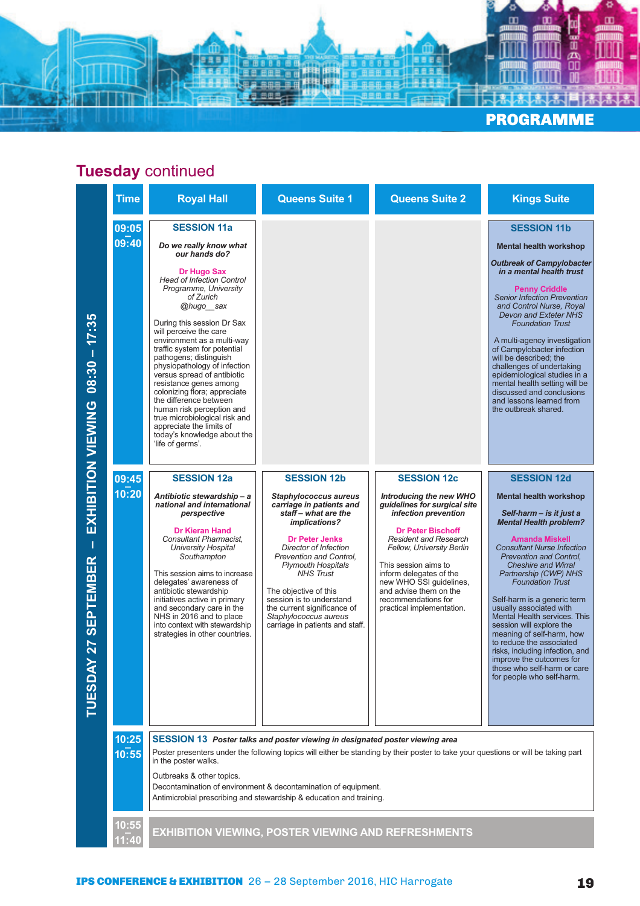

|                                                         | <b>Time</b>    | <b>Royal Hall</b>                                                                                                                                                                                                                                                                                                                                                                                                                                                                                                                                                                                                   | <b>Queens Suite 1</b>                                                                                                                                                                                                                                                                                                                                                                                 | <b>Queens Suite 2</b>                                                                                                                                                                                                                                                                                                                                             | <b>Kings Suite</b>                                                                                                                                                                                                                                                                                                                                                                                                                                                                                                                                                                                           |
|---------------------------------------------------------|----------------|---------------------------------------------------------------------------------------------------------------------------------------------------------------------------------------------------------------------------------------------------------------------------------------------------------------------------------------------------------------------------------------------------------------------------------------------------------------------------------------------------------------------------------------------------------------------------------------------------------------------|-------------------------------------------------------------------------------------------------------------------------------------------------------------------------------------------------------------------------------------------------------------------------------------------------------------------------------------------------------------------------------------------------------|-------------------------------------------------------------------------------------------------------------------------------------------------------------------------------------------------------------------------------------------------------------------------------------------------------------------------------------------------------------------|--------------------------------------------------------------------------------------------------------------------------------------------------------------------------------------------------------------------------------------------------------------------------------------------------------------------------------------------------------------------------------------------------------------------------------------------------------------------------------------------------------------------------------------------------------------------------------------------------------------|
| $08:30 - 17:35$                                         | 09:05<br>09:40 | <b>SESSION 11a</b><br>Do we really know what<br>our hands do?<br>Dr Hugo Sax<br><b>Head of Infection Control</b><br>Programme, University<br>of Zurich<br>@hugo sax<br>During this session Dr Sax<br>will perceive the care<br>environment as a multi-way<br>traffic system for potential<br>pathogens; distinguish<br>physiopathology of infection<br>versus spread of antibiotic<br>resistance genes among<br>colonizing flora; appreciate<br>the difference between<br>human risk perception and<br>true microbiological risk and<br>appreciate the limits of<br>today's knowledge about the<br>'life of germs'. |                                                                                                                                                                                                                                                                                                                                                                                                       |                                                                                                                                                                                                                                                                                                                                                                   | <b>SESSION 11b</b><br><b>Mental health workshop</b><br><b>Outbreak of Campylobacter</b><br>in a mental health trust<br><b>Penny Criddle</b><br><b>Senior Infection Prevention</b><br>and Control Nurse, Royal<br><b>Devon and Exteter NHS</b><br><b>Foundation Trust</b><br>A multi-agency investigation<br>of Campylobacter infection<br>will be described; the<br>challenges of undertaking<br>epidemiological studies in a<br>mental health setting will be<br>discussed and conclusions<br>and lessons learned from<br>the outbreak shared.                                                              |
| EXHIBITION VIEWING<br><b>SEPTEMBER</b><br>27<br>TUESDAY | 09:45<br>10:20 | <b>SESSION 12a</b><br>Antibiotic stewardship - a<br>national and international<br>perspective<br><b>Dr Kieran Hand</b><br>Consultant Pharmacist,<br>University Hospital<br>Southampton<br>This session aims to increase<br>delegates' awareness of<br>antibiotic stewardship<br>initiatives active in primary<br>and secondary care in the<br>NHS in 2016 and to place<br>into context with stewardship<br>strategies in other countries.                                                                                                                                                                           | <b>SESSION 12b</b><br>Staphylococcus aureus<br>carriage in patients and<br>staff - what are the<br><i>implications?</i><br><b>Dr Peter Jenks</b><br>Director of Infection<br>Prevention and Control.<br><b>Plymouth Hospitals</b><br><b>NHS Trust</b><br>The objective of this<br>session is to understand<br>the current significance of<br>Staphylococcus aureus<br>carriage in patients and staff. | <b>SESSION 12c</b><br><b>Introducing the new WHO</b><br>guidelines for surgical site<br>infection prevention<br><b>Dr Peter Bischoff</b><br><b>Resident and Research</b><br>Fellow, University Berlin<br>This session aims to<br>inform delegates of the<br>new WHO SSI guidelines,<br>and advise them on the<br>recommendations for<br>practical implementation. | <b>SESSION 12d</b><br><b>Mental health workshop</b><br>Self-harm – is it just a<br><b>Mental Health problem?</b><br><b>Amanda Miskell</b><br><b>Consultant Nurse Infection</b><br><b>Prevention and Control.</b><br><b>Cheshire and Wirral</b><br>Partnership (CWP) NHS<br><b>Foundation Trust</b><br>Self-harm is a generic term<br>usually associated with<br>Mental Health services. This<br>session will explore the<br>meaning of self-harm, how<br>to reduce the associated<br>risks, including infection, and<br>improve the outcomes for<br>those who self-harm or care<br>for people who self-harm. |
|                                                         | 10:25<br>10:55 | in the poster walks.<br>Outbreaks & other topics.                                                                                                                                                                                                                                                                                                                                                                                                                                                                                                                                                                   | SESSION 13 Poster talks and poster viewing in designated poster viewing area<br>Decontamination of environment & decontamination of equipment.<br>Antimicrobial prescribing and stewardship & education and training.                                                                                                                                                                                 | Poster presenters under the following topics will either be standing by their poster to take your questions or will be taking part                                                                                                                                                                                                                                |                                                                                                                                                                                                                                                                                                                                                                                                                                                                                                                                                                                                              |
|                                                         | 10:55          |                                                                                                                                                                                                                                                                                                                                                                                                                                                                                                                                                                                                                     | EXHIBITION VIEWING, POSTER VIEWING AND REFRESHMENTS                                                                                                                                                                                                                                                                                                                                                   |                                                                                                                                                                                                                                                                                                                                                                   |                                                                                                                                                                                                                                                                                                                                                                                                                                                                                                                                                                                                              |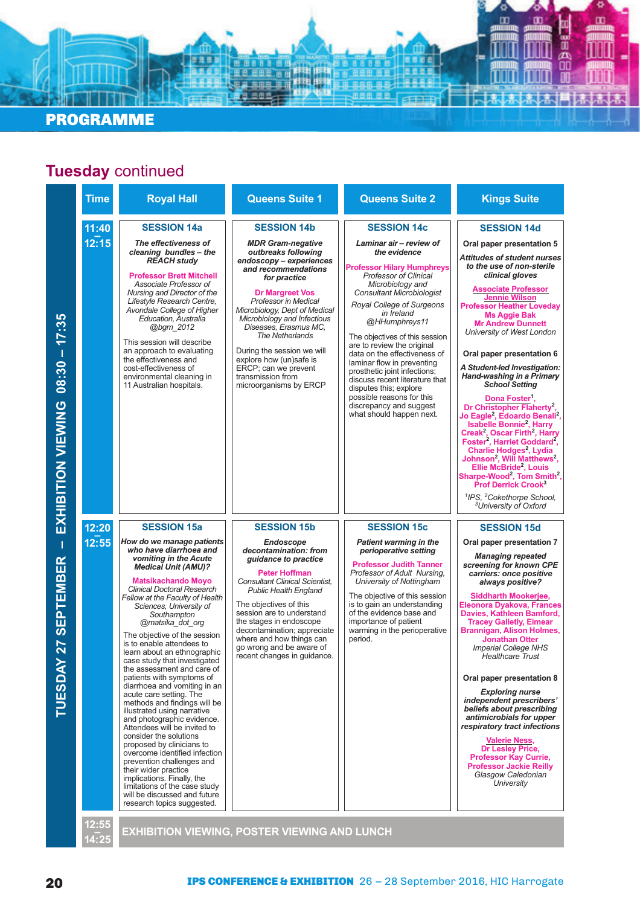

#### PROGRAMME

| <b>Time</b>    | <b>Royal Hall</b>                                                                                                                                                                                                                                                                                                                                                                                                                                                                                                                                                                                                                                                                                                                                                                                                                                                                                                                                            | <b>Queens Suite 1</b>                                                                                                                                                                                                                                                                                                                                                                                                                 | <b>Queens Suite 2</b>                                                                                                                                                                                                                                                                                                                                                                                                                                                                                                                                         | <b>Kings Suite</b>                                                                                                                                                                                                                                                                                                                                                                                                                                                                                                                                                                                                                                                                                                                                                                                                                                                                                                                                                                                             |
|----------------|--------------------------------------------------------------------------------------------------------------------------------------------------------------------------------------------------------------------------------------------------------------------------------------------------------------------------------------------------------------------------------------------------------------------------------------------------------------------------------------------------------------------------------------------------------------------------------------------------------------------------------------------------------------------------------------------------------------------------------------------------------------------------------------------------------------------------------------------------------------------------------------------------------------------------------------------------------------|---------------------------------------------------------------------------------------------------------------------------------------------------------------------------------------------------------------------------------------------------------------------------------------------------------------------------------------------------------------------------------------------------------------------------------------|---------------------------------------------------------------------------------------------------------------------------------------------------------------------------------------------------------------------------------------------------------------------------------------------------------------------------------------------------------------------------------------------------------------------------------------------------------------------------------------------------------------------------------------------------------------|----------------------------------------------------------------------------------------------------------------------------------------------------------------------------------------------------------------------------------------------------------------------------------------------------------------------------------------------------------------------------------------------------------------------------------------------------------------------------------------------------------------------------------------------------------------------------------------------------------------------------------------------------------------------------------------------------------------------------------------------------------------------------------------------------------------------------------------------------------------------------------------------------------------------------------------------------------------------------------------------------------------|
| 11:40<br>12:15 | <b>SESSION 14a</b><br>The effectiveness of<br>cleaning bundles - the<br><b>REACH study</b><br><b>Professor Brett Mitchell</b><br>Associate Professor of<br>Nursing and Director of the<br>Lifestyle Research Centre.<br>Avondale College of Higher<br>Education, Australia<br>@bgm 2012<br>This session will describe<br>an approach to evaluating<br>the effectiveness and<br>cost-effectiveness of<br>environmental cleaning in<br>11 Australian hospitals.                                                                                                                                                                                                                                                                                                                                                                                                                                                                                                | <b>SESSION 14b</b><br><b>MDR Gram-negative</b><br>outbreaks following<br>endoscopy - experiences<br>and recommendations<br>for practice<br><b>Dr Margreet Vos</b><br>Professor in Medical<br>Microbiology, Dept of Medical<br>Microbiology and Infectious<br>Diseases, Erasmus MC,<br>The Netherlands<br>During the session we will<br>explore how (un)safe is<br>ERCP; can we prevent<br>transmission from<br>microorganisms by ERCP | <b>SESSION 14c</b><br>Laminar air - review of<br>the evidence<br><b>Professor Hilary Humphreys</b><br><b>Professor of Clinical</b><br>Microbiology and<br>Consultant Microbiologist<br>Royal College of Surgeons<br>in Ireland<br>@HHumphreys11<br>The objectives of this session<br>are to review the original<br>data on the effectiveness of<br>laminar flow in preventing<br>prosthetic joint infections;<br>discuss recent literature that<br>disputes this; explore<br>possible reasons for this<br>discrepancy and suggest<br>what should happen next. | <b>SESSION 14d</b><br>Oral paper presentation 5<br>Attitudes of student nurses<br>to the use of non-sterile<br>clinical gloves<br><b>Associate Professor</b><br><b>Jennie Wilson</b><br><b>Professor Heather Loveday</b><br><b>Ms Aggie Bak</b><br><b>Mr Andrew Dunnett</b><br>University of West London<br>Oral paper presentation 6<br>A Student-led Investigation:<br>Hand-washing in a Primary<br><b>School Setting</b><br>Dona Foster <sup>1</sup> ,<br>Dr Christopher Flaherty <sup>2</sup> ,<br>Jo Eagle <sup>2</sup> , Edoardo Benali <sup>2</sup> ,<br><b>Isabelle Bonnie<sup>2</sup></b> , Harry<br>Creak <sup>2</sup> , Oscar Firth <sup>2</sup> , Harry<br>Foster <sup>2</sup> , Harriet Goddard <sup>2</sup> ,<br>Charlie Hodges <sup>2</sup> , Lydia<br>Johnson <sup>2</sup> , Will Matthews <sup>2</sup> ,<br>Ellie McBride <sup>2</sup> , Louis<br>Sharpe-Wood <sup>2</sup> , Tom Smith <sup>2</sup> ,<br>Prof Derrick Crook <sup>3</sup><br><sup>1</sup> IPS, <sup>2</sup> Cokethorpe School, |
| 12:20<br>12:55 | <b>SESSION 15a</b><br>How do we manage patients<br>who have diarrhoea and<br>vomiting in the Acute<br><b>Medical Unit (AMU)?</b><br><b>Matsikachando Moyo</b><br><b>Clinical Doctoral Research</b><br>Fellow at the Faculty of Health<br>Sciences, University of<br>Southampton<br>@matsika_dot_org<br>The objective of the session<br>is to enable attendees to<br>learn about an ethnographic<br>case study that investigated<br>the assessment and care of<br>patients with symptoms of<br>diarrhoea and vomiting in an<br>acute care setting. The<br>methods and findings will be<br>illustrated using narrative<br>and photographic evidence.<br>Attendees will be invited to<br>consider the solutions<br>proposed by clinicians to<br>overcome identified infection<br>prevention challenges and<br>their wider practice<br>implications. Finally, the<br>limitations of the case study<br>will be discussed and future<br>research topics suggested. | <b>SESSION 15b</b><br><b>Endoscope</b><br>decontamination: from<br>guidance to practice<br><b>Peter Hoffman</b><br><b>Consultant Clinical Scientist,</b><br><b>Public Health England</b><br>The objectives of this<br>session are to understand<br>the stages in endoscope<br>decontamination; appreciate<br>where and how things can<br>go wrong and be aware of<br>recent changes in guidance.                                      | <b>SESSION 15c</b><br><b>Patient warming in the</b><br>perioperative setting<br><b>Professor Judith Tanner</b><br>Professor of Adult Nursing,<br>University of Nottingham<br>The objective of this session<br>is to gain an understanding<br>of the evidence base and<br>importance of patient<br>warming in the perioperative<br>period.                                                                                                                                                                                                                     | <sup>3</sup> University of Oxford<br><b>SESSION 15d</b><br>Oral paper presentation 7<br><b>Managing repeated</b><br>screening for known CPE<br>carriers: once positive<br>always positive?<br><b>Siddharth Mookerjee,</b><br><b>Eleonora Dyakova, Frances</b><br>Davies, Kathleen Bamford,<br><b>Tracey Galletly, Eimear</b><br><b>Brannigan, Alison Holmes,</b><br><b>Jonathan Otter</b><br><b>Imperial College NHS</b><br><b>Healthcare Trust</b><br>Oral paper presentation 8<br><b>Exploring nurse</b><br>independent prescribers'<br>beliefs about prescribing<br>antimicrobials for upper<br>respiratory tract infections<br><b>Valerie Ness,</b><br><b>Dr Lesley Price,</b><br><b>Professor Kay Currie,</b><br><b>Professor Jackie Reilly</b><br>Glasgow Caledonian<br>University                                                                                                                                                                                                                       |
|                |                                                                                                                                                                                                                                                                                                                                                                                                                                                                                                                                                                                                                                                                                                                                                                                                                                                                                                                                                              | <b>EXHIBITION VIEWING, POSTER VIEWING AND LUNCH</b>                                                                                                                                                                                                                                                                                                                                                                                   |                                                                                                                                                                                                                                                                                                                                                                                                                                                                                                                                                               |                                                                                                                                                                                                                                                                                                                                                                                                                                                                                                                                                                                                                                                                                                                                                                                                                                                                                                                                                                                                                |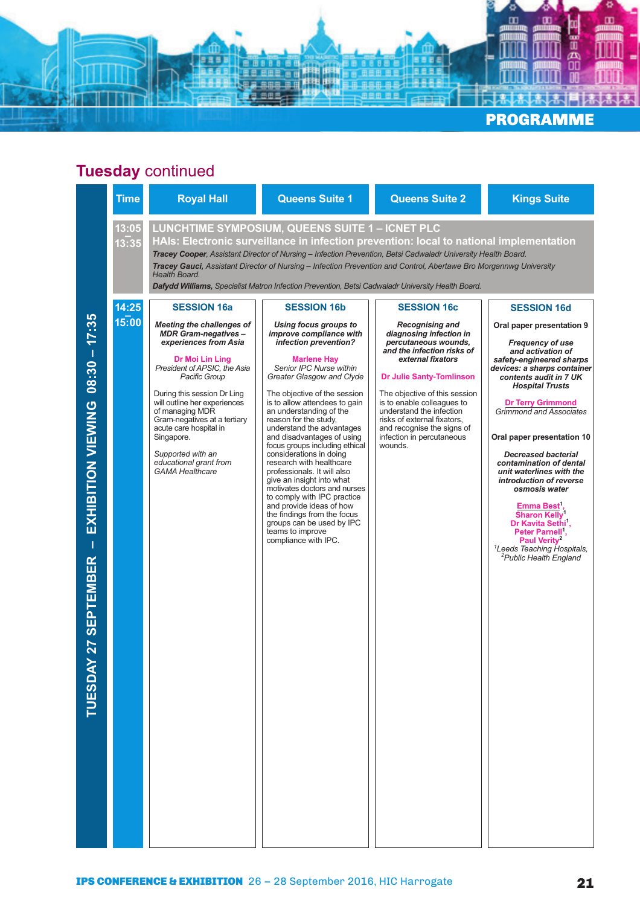

| 13:05<br>LUNCHTIME SYMPOSIUM, QUEENS SUITE 1 - ICNET PLC<br>HAIs: Electronic surveillance in infection prevention: local to national implementation<br>13:35<br>Tracey Cooper, Assistant Director of Nursing - Infection Prevention, Betsi Cadwaladr University Health Board.<br>Tracey Gauci, Assistant Director of Nursing - Infection Prevention and Control, Abertawe Bro Morgannwg University<br>Health Board.<br>Dafydd Williams, Specialist Matron Infection Prevention, Betsi Cadwaladr University Health Board.<br>14:25<br><b>SESSION 16a</b><br><b>SESSION 16b</b><br><b>SESSION 16c</b><br><b>SESSION 16d</b><br>$08:30 - 17:35$<br>15:00<br>Meeting the challenges of<br>Using focus groups to<br><b>Recognising and</b><br><b>MDR Gram-negatives-</b><br>improve compliance with<br>diagnosing infection in<br>experiences from Asia<br>infection prevention?<br>percutaneous wounds,<br><b>Frequency of use</b><br>and the infection risks of<br>and activation of<br>external fixators<br>Dr Moi Lin Ling<br><b>Marlene Hay</b><br>President of APSIC, the Asia<br>Senior IPC Nurse within<br>Pacific Group<br>Greater Glasgow and Clyde<br><b>Dr Julie Santy-Tomlinson</b><br>contents audit in 7 UK<br><b>Hospital Trusts</b><br>During this session Dr Ling<br>The objective of the session<br>The objective of this session<br>will outline her experiences<br>is to enable colleagues to<br>is to allow attendees to gain<br>EXHIBITION VIEWING<br><b>Dr Terry Grimmond</b><br>understand the infection<br>of managing MDR<br>an understanding of the<br>Gram-negatives at a tertiary<br>reason for the study.<br>risks of external fixators,<br>acute care hospital in<br>understand the advantages<br>and recognise the signs of<br>and disadvantages of using<br>infection in percutaneous<br>Singapore.<br>focus groups including ethical<br>wounds.<br>considerations in doing<br>Supported with an<br><b>Decreased bacterial</b><br>educational grant from<br>research with healthcare<br>contamination of dental<br><b>GAMA Healthcare</b><br>professionals. It will also<br>unit waterlines with the<br>give an insight into what<br>introduction of reverse<br>motivates doctors and nurses<br>osmosis water<br>to comply with IPC practice<br>and provide ideas of how<br><b>Emma Best</b><br><b>Sharon Kelly</b><br>the findings from the focus<br>groups can be used by IPC<br>Dr Kavita Sethi,<br>teams to improve<br>Peter Parnell <sup>1</sup><br>compliance with IPC.<br>Paul Verity <sup>2</sup><br>Т<br><sup>2</sup> Public Health England<br>27 SEPTEMBER<br><b>TUESDAY</b> | <b>Time</b> | <b>Royal Hall</b> | <b>Queens Suite 1</b> | <b>Queens Suite 2</b> | <b>Kings Suite</b>                                                                                                                                                                      |
|---------------------------------------------------------------------------------------------------------------------------------------------------------------------------------------------------------------------------------------------------------------------------------------------------------------------------------------------------------------------------------------------------------------------------------------------------------------------------------------------------------------------------------------------------------------------------------------------------------------------------------------------------------------------------------------------------------------------------------------------------------------------------------------------------------------------------------------------------------------------------------------------------------------------------------------------------------------------------------------------------------------------------------------------------------------------------------------------------------------------------------------------------------------------------------------------------------------------------------------------------------------------------------------------------------------------------------------------------------------------------------------------------------------------------------------------------------------------------------------------------------------------------------------------------------------------------------------------------------------------------------------------------------------------------------------------------------------------------------------------------------------------------------------------------------------------------------------------------------------------------------------------------------------------------------------------------------------------------------------------------------------------------------------------------------------------------------------------------------------------------------------------------------------------------------------------------------------------------------------------------------------------------------------------------------------------------------------------------------------------------------------------------------------------------------------------------------------------------------------------------------------------------------------------------------------------------------------------------------------------|-------------|-------------------|-----------------------|-----------------------|-----------------------------------------------------------------------------------------------------------------------------------------------------------------------------------------|
|                                                                                                                                                                                                                                                                                                                                                                                                                                                                                                                                                                                                                                                                                                                                                                                                                                                                                                                                                                                                                                                                                                                                                                                                                                                                                                                                                                                                                                                                                                                                                                                                                                                                                                                                                                                                                                                                                                                                                                                                                                                                                                                                                                                                                                                                                                                                                                                                                                                                                                                                                                                                                     |             |                   |                       |                       |                                                                                                                                                                                         |
|                                                                                                                                                                                                                                                                                                                                                                                                                                                                                                                                                                                                                                                                                                                                                                                                                                                                                                                                                                                                                                                                                                                                                                                                                                                                                                                                                                                                                                                                                                                                                                                                                                                                                                                                                                                                                                                                                                                                                                                                                                                                                                                                                                                                                                                                                                                                                                                                                                                                                                                                                                                                                     |             |                   |                       |                       |                                                                                                                                                                                         |
|                                                                                                                                                                                                                                                                                                                                                                                                                                                                                                                                                                                                                                                                                                                                                                                                                                                                                                                                                                                                                                                                                                                                                                                                                                                                                                                                                                                                                                                                                                                                                                                                                                                                                                                                                                                                                                                                                                                                                                                                                                                                                                                                                                                                                                                                                                                                                                                                                                                                                                                                                                                                                     |             |                   |                       |                       | Oral paper presentation 9<br>safety-engineered sharps<br>devices: a sharps container<br>Grimmond and Associates<br>Oral paper presentation 10<br><sup>1</sup> Leeds Teaching Hospitals, |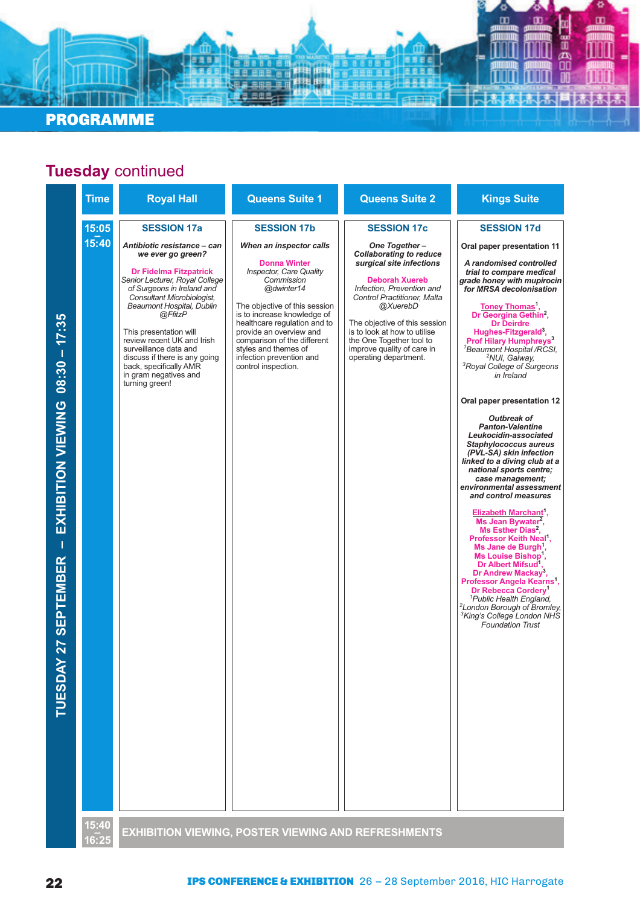#### PROGRAMME

### **Tuesday** continued

**BBB** 

無用馬

ø

 $\mathbf{m}$ 

٥ œ

 $\mathbf{r}$ 

명명

蕊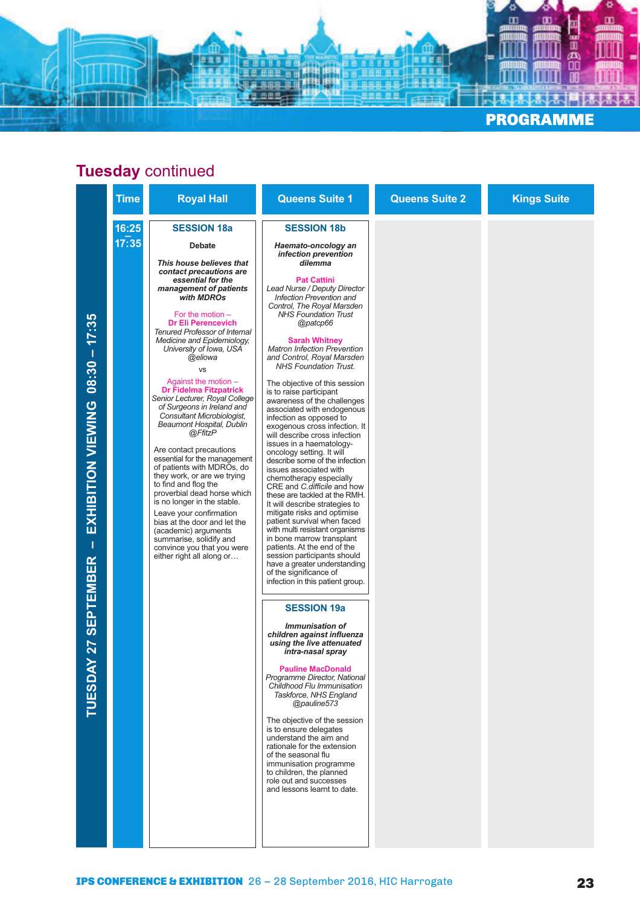

|                                                                                                  | <b>Time</b>    | <b>Royal Hall</b>                                                                                                                                                                                                                                                                                                                                                                                                                                                                                                                                                                                                                                                                                                                                                                                                                                                                                                         | <b>Queens Suite 1</b>                                                                                                                                                                                                                                                                                                                                                                                                                                                                                                                                                                                                                                                                                                                                                                                                                                                                                                                                                                                                                                                                                                                                                                                                                                                                                                                                                                                                                                                                                                                                                                                                                                                    | <b>Queens Suite 2</b> | <b>Kings Suite</b> |
|--------------------------------------------------------------------------------------------------|----------------|---------------------------------------------------------------------------------------------------------------------------------------------------------------------------------------------------------------------------------------------------------------------------------------------------------------------------------------------------------------------------------------------------------------------------------------------------------------------------------------------------------------------------------------------------------------------------------------------------------------------------------------------------------------------------------------------------------------------------------------------------------------------------------------------------------------------------------------------------------------------------------------------------------------------------|--------------------------------------------------------------------------------------------------------------------------------------------------------------------------------------------------------------------------------------------------------------------------------------------------------------------------------------------------------------------------------------------------------------------------------------------------------------------------------------------------------------------------------------------------------------------------------------------------------------------------------------------------------------------------------------------------------------------------------------------------------------------------------------------------------------------------------------------------------------------------------------------------------------------------------------------------------------------------------------------------------------------------------------------------------------------------------------------------------------------------------------------------------------------------------------------------------------------------------------------------------------------------------------------------------------------------------------------------------------------------------------------------------------------------------------------------------------------------------------------------------------------------------------------------------------------------------------------------------------------------------------------------------------------------|-----------------------|--------------------|
| 17:35<br>$08:30 -$<br>EXHIBITION VIEWING<br>1<br><b>SEPTEMBER</b><br><b>Z7</b><br><b>TUESDAY</b> | 16:25<br>17:35 | <b>SESSION 18a</b><br><b>Debate</b><br>This house believes that<br>contact precautions are<br>essential for the<br>management of patients<br>with MDROs<br>For the motion $-$<br><b>Dr Eli Perencevich</b><br><b>Tenured Professor of Internal</b><br>Medicine and Epidemiology,<br>University of Iowa, USA<br>@eliowa<br><b>VS</b><br>Against the motion -<br><b>Dr Fidelma Fitzpatrick</b><br>Senior Lecturer, Royal College<br>of Surgeons in Ireland and<br>Consultant Microbiologist,<br>Beaumont Hospital, Dublin<br>@FfitzP<br>Are contact precautions<br>essential for the management<br>of patients with MDROs, do<br>they work, or are we trying<br>to find and flog the<br>proverbial dead horse which<br>is no longer in the stable.<br>Leave your confirmation<br>bias at the door and let the<br>(academic) arguments<br>summarise, solidify and<br>convince you that you were<br>either right all along or | <b>SESSION 18b</b><br>Haemato-oncology an<br>infection prevention<br>dilemma<br><b>Pat Cattini</b><br>Lead Nurse / Deputy Director<br>Infection Prevention and<br>Control, The Royal Marsden<br><b>NHS Foundation Trust</b><br>@patcp66<br><b>Sarah Whitney</b><br><b>Matron Infection Prevention</b><br>and Control, Royal Marsden<br><b>NHS Foundation Trust.</b><br>The objective of this session<br>is to raise participant<br>awareness of the challenges<br>associated with endogenous<br>infection as opposed to<br>exogenous cross infection. It<br>will describe cross infection<br>issues in a haematology-<br>oncology setting. It will<br>describe some of the infection<br>issues associated with<br>chemotherapy especially<br>CRE and C. difficile and how<br>these are tackled at the RMH.<br>It will describe strategies to<br>mitigate risks and optimise<br>patient survival when faced<br>with multi resistant organisms<br>in bone marrow transplant<br>patients. At the end of the<br>session participants should<br>have a greater understanding<br>of the significance of<br>infection in this patient group.<br><b>SESSION 19a</b><br><i><b>Immunisation of</b></i><br>children against influenza<br>using the live attenuated<br>intra-nasal spray<br><b>Pauline MacDonald</b><br>Programme Director, National<br>Childhood Flu Immunisation<br>Taskforce, NHS England<br>@pauline573<br>The objective of the session<br>is to ensure delegates<br>understand the aim and<br>rationale for the extension<br>of the seasonal flu<br>immunisation programme<br>to children, the planned<br>role out and successes<br>and lessons learnt to date. |                       |                    |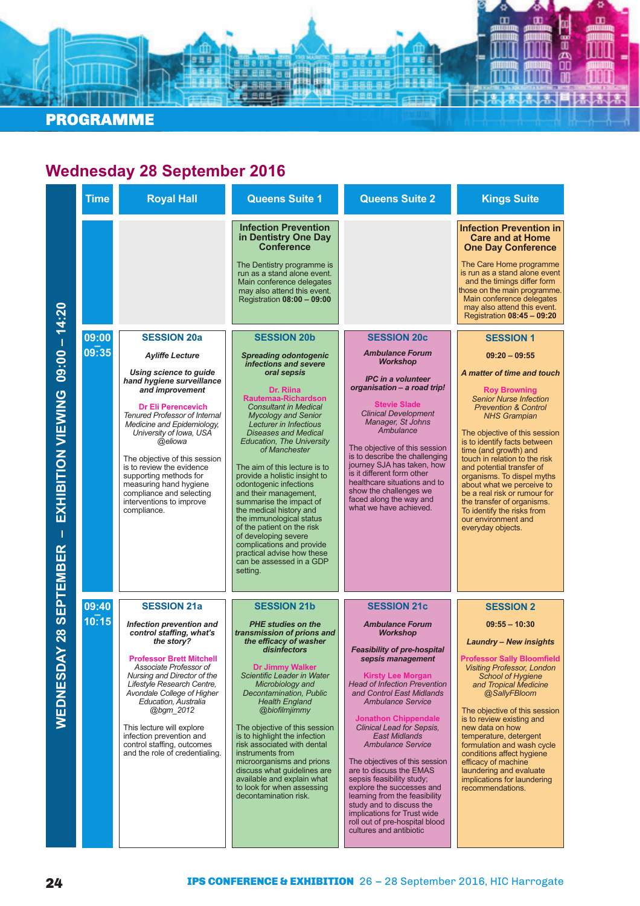

#### **Wednesday 28 September 2016**

|                                                      | <b>Time</b>    | <b>Royal Hall</b>                                                                                                                                                                                                                                                                                                                                                                                                                  | <b>Queens Suite 1</b>                                                                                                                                                                                                                                                                                                                                                                                                                                                                                                                                                                                                                                | <b>Queens Suite 2</b>                                                                                                                                                                                                                                                                                                                                                                                                                                                                                                                                                                                                                                  | <b>Kings Suite</b>                                                                                                                                                                                                                                                                                                                                                                                                                                                                                                         |
|------------------------------------------------------|----------------|------------------------------------------------------------------------------------------------------------------------------------------------------------------------------------------------------------------------------------------------------------------------------------------------------------------------------------------------------------------------------------------------------------------------------------|------------------------------------------------------------------------------------------------------------------------------------------------------------------------------------------------------------------------------------------------------------------------------------------------------------------------------------------------------------------------------------------------------------------------------------------------------------------------------------------------------------------------------------------------------------------------------------------------------------------------------------------------------|--------------------------------------------------------------------------------------------------------------------------------------------------------------------------------------------------------------------------------------------------------------------------------------------------------------------------------------------------------------------------------------------------------------------------------------------------------------------------------------------------------------------------------------------------------------------------------------------------------------------------------------------------------|----------------------------------------------------------------------------------------------------------------------------------------------------------------------------------------------------------------------------------------------------------------------------------------------------------------------------------------------------------------------------------------------------------------------------------------------------------------------------------------------------------------------------|
|                                                      |                |                                                                                                                                                                                                                                                                                                                                                                                                                                    | <b>Infection Prevention</b><br>in Dentistry One Day<br><b>Conference</b><br>The Dentistry programme is<br>run as a stand alone event.<br>Main conference delegates<br>may also attend this event.<br>Registration 08:00 - 09:00                                                                                                                                                                                                                                                                                                                                                                                                                      |                                                                                                                                                                                                                                                                                                                                                                                                                                                                                                                                                                                                                                                        | <b>Infection Prevention in</b><br><b>Care and at Home</b><br><b>One Day Conference</b><br>The Care Home programme<br>is run as a stand alone event<br>and the timings differ form<br>those on the main programme.<br>Main conference delegates<br>may also attend this event.<br>Registration 08:45 - 09:20                                                                                                                                                                                                                |
|                                                      | 09:00          | <b>SESSION 20a</b>                                                                                                                                                                                                                                                                                                                                                                                                                 | <b>SESSION 20b</b>                                                                                                                                                                                                                                                                                                                                                                                                                                                                                                                                                                                                                                   | <b>SESSION 20c</b>                                                                                                                                                                                                                                                                                                                                                                                                                                                                                                                                                                                                                                     | <b>SESSION 1</b>                                                                                                                                                                                                                                                                                                                                                                                                                                                                                                           |
| EXHIBITION VIEWING 09:00 - 14:20<br><b>SEPTEMBER</b> | 09:35          | <b>Ayliffe Lecture</b><br>Using science to guide<br>hand hygiene surveillance<br>and improvement<br><b>Dr Eli Perencevich</b><br><b>Tenured Professor of Internal</b><br>Medicine and Epidemiology,<br>University of Iowa, USA<br>@eliowa<br>The objective of this session<br>is to review the evidence<br>supporting methods for<br>measuring hand hygiene<br>compliance and selecting<br>interventions to improve<br>compliance. | <b>Spreading odontogenic</b><br>infections and severe<br>oral sepsis<br>Dr. Riina<br>Rautemaa-Richardson<br><b>Consultant in Medical</b><br><b>Mycology and Senior</b><br>Lecturer in Infectious<br><b>Diseases and Medical</b><br><b>Education, The University</b><br>of Manchester<br>The aim of this lecture is to<br>provide a holistic insight to<br>odontogenic infections<br>and their management,<br>summarise the impact of<br>the medical history and<br>the immunological status<br>of the patient on the risk<br>of developing severe<br>complications and provide<br>practical advise how these<br>can be assessed in a GDP<br>setting. | <b>Ambulance Forum</b><br>Workshop<br><b>IPC</b> in a volunteer<br>organisation - a road trip!<br><b>Stevie Slade</b><br><b>Clinical Development</b><br>Manager, St Johns<br>Ambulance<br>The objective of this session<br>is to describe the challenging<br>journey SJA has taken, how<br>is it different form other<br>healthcare situations and to<br>show the challenges we<br>faced along the way and<br>what we have achieved.                                                                                                                                                                                                                   | $09:20 - 09:55$<br>A matter of time and touch<br><b>Roy Browning</b><br><b>Senior Nurse Infection</b><br><b>Prevention &amp; Control</b><br><b>NHS Grampian</b><br>The objective of this session<br>is to identify facts between<br>time (and growth) and<br>touch in relation to the risk<br>and potential transfer of<br>organisms. To dispel myths<br>about what we perceive to<br>be a real risk or rumour for<br>the transfer of organisms.<br>To identify the risks from<br>our environment and<br>everyday objects. |
| <b>AY 28</b><br>WEDNESD                              | 09:40<br>10:15 | <b>SESSION 21a</b><br>Infection prevention and<br>control staffing, what's<br>the story?<br><b>Professor Brett Mitchell</b><br>Associate Professor of<br>Nursing and Director of the<br>Lifestyle Research Centre,<br>Avondale College of Higher<br>Education, Australia<br>@bgm 2012<br>This lecture will explore<br>infection prevention and<br>control staffing, outcomes<br>and the role of credentialing.                     | <b>SESSION 21b</b><br><b>PHE studies on the</b><br>transmission of prions and<br>the efficacy of washer<br>disinfectors<br>Dr Jimmy Walker<br>Scientific Leader in Water<br>Microbiology and<br>Decontamination, Public<br><b>Health England</b><br>@biofilmjimmy<br>The objective of this session<br>is to highlight the infection<br>risk associated with dental<br>instruments from<br>microorganisms and prions<br>discuss what guidelines are<br>available and explain what<br>to look for when assessing<br>decontamination risk.                                                                                                              | <b>SESSION 21c</b><br><b>Ambulance Forum</b><br><b>Workshop</b><br><b>Feasibility of pre-hospital</b><br>sepsis management<br><b>Kirsty Lee Morgan</b><br><b>Head of Infection Prevention</b><br>and Control East Midlands<br><b>Ambulance Service</b><br><b>Jonathon Chippendale</b><br>Clinical Lead for Sepsis,<br><b>East Midlands</b><br><b>Ambulance Service</b><br>The objectives of this session<br>are to discuss the EMAS<br>sepsis feasibility study;<br>explore the successes and<br>learning from the feasibility<br>study and to discuss the<br>implications for Trust wide<br>roll out of pre-hospital blood<br>cultures and antibiotic | <b>SESSION 2</b><br>$09:55 - 10:30$<br>Laundry - New insights<br><b>Professor Sally Bloomfield</b><br><b>Visiting Professor, London</b><br><b>School of Hygiene</b><br>and Tropical Medicine<br>@SallyFBloom<br>The objective of this session<br>is to review existing and<br>new data on how<br>temperature, detergent<br>formulation and wash cycle<br>conditions affect hygiene<br>efficacy of machine<br>laundering and evaluate<br>implications for laundering<br>recommendations.                                    |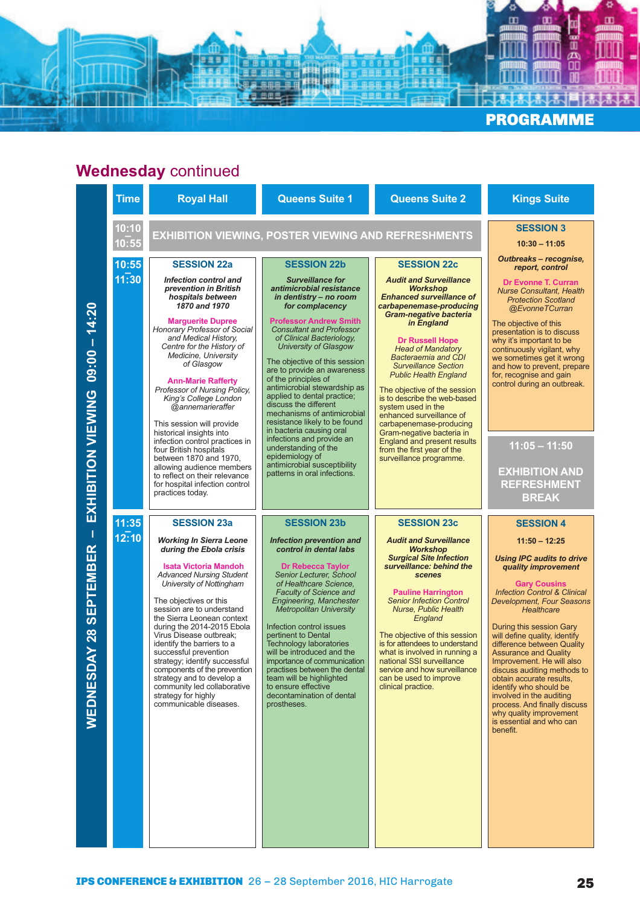

# **Wednesday** continued

|                                                                                     | <b>Time</b>    | <b>Royal Hall</b>                                                                                                                                                                                                                                                                                                                                                                                                                                                                                                                                                 | <b>Queens Suite 1</b>                                                                                                                                                                                                                                                                                                                                                                                                                                                                                                                                                             | <b>Queens Suite 2</b>                                                                                                                                                                                                                                                                                                                                                                                                                                                                                                                                                         | <b>Kings Suite</b>                                                                                                                                                                                                                                                                                                                                                                                                                                                                                                                                                                             |
|-------------------------------------------------------------------------------------|----------------|-------------------------------------------------------------------------------------------------------------------------------------------------------------------------------------------------------------------------------------------------------------------------------------------------------------------------------------------------------------------------------------------------------------------------------------------------------------------------------------------------------------------------------------------------------------------|-----------------------------------------------------------------------------------------------------------------------------------------------------------------------------------------------------------------------------------------------------------------------------------------------------------------------------------------------------------------------------------------------------------------------------------------------------------------------------------------------------------------------------------------------------------------------------------|-------------------------------------------------------------------------------------------------------------------------------------------------------------------------------------------------------------------------------------------------------------------------------------------------------------------------------------------------------------------------------------------------------------------------------------------------------------------------------------------------------------------------------------------------------------------------------|------------------------------------------------------------------------------------------------------------------------------------------------------------------------------------------------------------------------------------------------------------------------------------------------------------------------------------------------------------------------------------------------------------------------------------------------------------------------------------------------------------------------------------------------------------------------------------------------|
|                                                                                     | 10:10<br>10:55 |                                                                                                                                                                                                                                                                                                                                                                                                                                                                                                                                                                   | EXHIBITION VIEWING, POSTER VIEWING AND REFRESHMENTS                                                                                                                                                                                                                                                                                                                                                                                                                                                                                                                               |                                                                                                                                                                                                                                                                                                                                                                                                                                                                                                                                                                               | <b>SESSION 3</b><br>$10:30 - 11:05$                                                                                                                                                                                                                                                                                                                                                                                                                                                                                                                                                            |
| $-14:20$<br>09:00                                                                   | 10:55<br>11:30 | <b>SESSION 22a</b><br>Infection control and<br>prevention in British<br>hospitals between<br>1870 and 1970<br><b>Marguerite Dupree</b><br>Honorary Professor of Social<br>and Medical History,<br>Centre for the History of<br>Medicine, University<br>of Glasgow<br><b>Ann-Marie Rafferty</b><br>Professor of Nursing Policy,<br>King's College London<br>@annemarieraffer<br>This session will provide<br>historical insights into<br>infection control practices in<br>four British hospitals                                                                  | <b>SESSION 22b</b><br><b>Surveillance for</b><br>antimicrobial resistance<br>in dentistry - no room<br>for complacency<br><b>Professor Andrew Smith</b><br><b>Consultant and Professor</b><br>of Clinical Bacteriology,<br>University of Glasgow<br>The objective of this session<br>are to provide an awareness<br>of the principles of<br>antimicrobial stewardship as<br>applied to dental practice;<br>discuss the different<br>mechanisms of antimicrobial<br>resistance likely to be found<br>in bacteria causing oral<br>infections and provide an<br>understanding of the | <b>SESSION 22c</b><br><b>Audit and Surveillance</b><br><b>Workshop</b><br><b>Enhanced surveillance of</b><br>carbapenemase-producing<br><b>Gram-negative bacteria</b><br>in England<br><b>Dr Russell Hope</b><br><b>Head of Mandatory</b><br><b>Bacteraemia and CDI</b><br><b>Surveillance Section</b><br><b>Public Health England</b><br>The objective of the session<br>is to describe the web-based<br>system used in the<br>enhanced surveillance of<br>carbapenemase-producing<br>Gram-negative bacteria in<br>England and present results<br>from the first year of the | Outbreaks – recognise,<br>report, control<br><b>Dr Evonne T. Curran</b><br><b>Nurse Consultant, Health</b><br><b>Protection Scotland</b><br>@EvonneTCurran<br>The objective of this<br>presentation is to discuss<br>why it's important to be<br>continuously vigilant, why<br>we sometimes get it wrong<br>and how to prevent, prepare<br>for, recognise and gain<br>control during an outbreak.<br>$11:05 - 11:50$                                                                                                                                                                           |
| EXHIBITION VIEWING                                                                  |                | between 1870 and 1970,<br>allowing audience members<br>to reflect on their relevance<br>for hospital infection control<br>practices today.                                                                                                                                                                                                                                                                                                                                                                                                                        | epidemiology of<br>antimicrobial susceptibility<br>patterns in oral infections.                                                                                                                                                                                                                                                                                                                                                                                                                                                                                                   | surveillance programme.                                                                                                                                                                                                                                                                                                                                                                                                                                                                                                                                                       | <b>EXHIBITION AND</b><br><b>REFRESHMENT</b><br><b>BREAK</b>                                                                                                                                                                                                                                                                                                                                                                                                                                                                                                                                    |
| $\overline{\phantom{a}}$<br><b>SEPTEMBER</b><br>$\frac{8}{2}$<br>≹<br><b>NEDNES</b> | 11:35<br>12:10 | <b>SESSION 23a</b><br><b>Working In Sierra Leone</b><br>during the Ebola crisis<br><b>Isata Victoria Mandoh</b><br><b>Advanced Nursing Student</b><br>University of Nottingham<br>The objectives or this<br>session are to understand<br>the Sierra Leonean context<br>during the 2014-2015 Ebola<br>Virus Disease outbreak;<br>identify the barriers to a<br>successful prevention<br>strategy; identify successful<br>components of the prevention<br>strategy and to develop a<br>community led collaborative<br>strategy for highly<br>communicable diseases. | <b>SESSION 23b</b><br>Infection prevention and<br>control in dental labs<br><b>Dr Rebecca Taylor</b><br>Senior Lecturer, School<br>of Healthcare Science.<br><b>Faculty of Science and</b><br><b>Engineering, Manchester</b><br><b>Metropolitan University</b><br>Infection control issues<br>pertinent to Dental<br><b>Technology laboratories</b><br>will be introduced and the<br>importance of communication<br>practises between the dental<br>team will be highlighted<br>to ensure effective<br>decontamination of dental<br>prostheses.                                   | <b>SESSION 23c</b><br><b>Audit and Surveillance</b><br><b>Workshop</b><br><b>Surgical Site Infection</b><br>surveillance: behind the<br>scenes<br><b>Pauline Harrington</b><br><b>Senior Infection Control</b><br><b>Nurse, Public Health</b><br>England<br>The objective of this session<br>is for attendees to understand<br>what is involved in running a<br>national SSI surveillance<br>service and how surveillance<br>can be used to improve<br>clinical practice.                                                                                                     | <b>SESSION 4</b><br>$11:50 - 12:25$<br><b>Using IPC audits to drive</b><br>quality improvement<br><b>Gary Cousins</b><br><b>Infection Control &amp; Clinical</b><br><b>Development, Four Seasons</b><br>Healthcare<br>During this session Gary<br>will define quality, identify<br>difference between Quality<br><b>Assurance and Quality</b><br>Improvement. He will also<br>discuss auditing methods to<br>obtain accurate results,<br>identify who should be<br>involved in the auditing<br>process. And finally discuss<br>why quality improvement<br>is essential and who can<br>benefit. |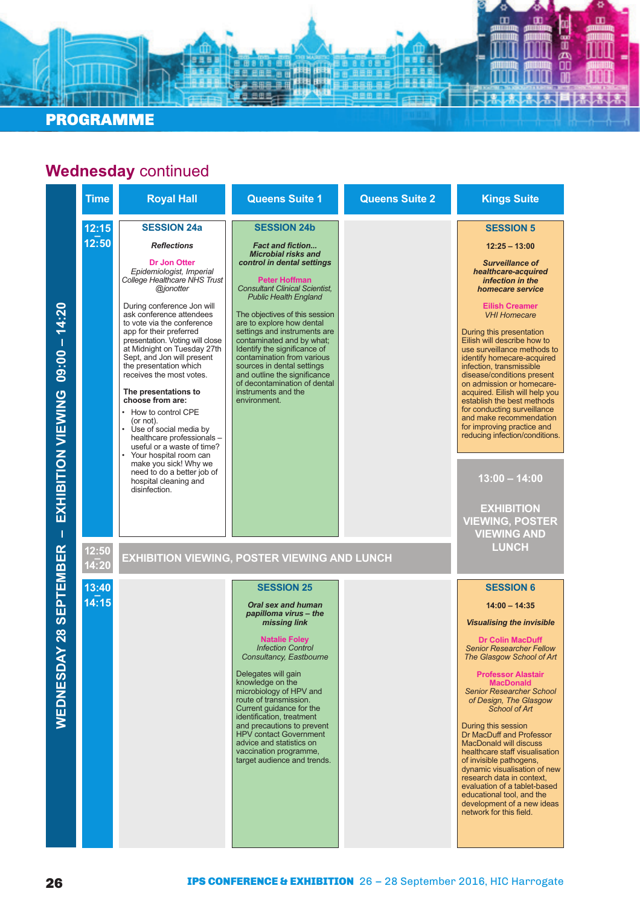

### **Wednesday** continued

| <b>Time</b>                                                         | <b>Royal Hall</b>                                                                                                                                                                                                                                                                                                                                                                                                                                                                                                                                                                                                                                                                                                                           | <b>Queens Suite 1</b>                                                                                                                                                                                                                                                                                                                                                                                                                                                                                                                      | <b>Queens Suite 2</b> | <b>Kings Suite</b>                                                                                                                                                                                                                                                                                                                                                                                                                                                                                                                                                                                                                                                          |
|---------------------------------------------------------------------|---------------------------------------------------------------------------------------------------------------------------------------------------------------------------------------------------------------------------------------------------------------------------------------------------------------------------------------------------------------------------------------------------------------------------------------------------------------------------------------------------------------------------------------------------------------------------------------------------------------------------------------------------------------------------------------------------------------------------------------------|--------------------------------------------------------------------------------------------------------------------------------------------------------------------------------------------------------------------------------------------------------------------------------------------------------------------------------------------------------------------------------------------------------------------------------------------------------------------------------------------------------------------------------------------|-----------------------|-----------------------------------------------------------------------------------------------------------------------------------------------------------------------------------------------------------------------------------------------------------------------------------------------------------------------------------------------------------------------------------------------------------------------------------------------------------------------------------------------------------------------------------------------------------------------------------------------------------------------------------------------------------------------------|
| 12:15<br>12:50<br>EXHIBITION VIEWING 09:00 - 14:20                  | <b>SESSION 24a</b><br><b>Reflections</b><br><b>Dr Jon Otter</b><br>Epidemiologist, Imperial<br>College Healthcare NHS Trust<br>@jonotter<br>During conference Jon will<br>ask conference attendees<br>to vote via the conference<br>app for their preferred<br>presentation. Voting will close<br>at Midnight on Tuesday 27th<br>Sept, and Jon will present<br>the presentation which<br>receives the most votes.<br>The presentations to<br>choose from are:<br>How to control CPE<br>(or not).<br>$\bullet$<br>Use of social media by<br>healthcare professionals -<br>useful or a waste of time?<br>$\bullet$<br>Your hospital room can<br>make you sick! Why we<br>need to do a better job of<br>hospital cleaning and<br>disinfection. | <b>SESSION 24b</b><br><b>Fact and fiction</b><br><b>Microbial risks and</b><br>control in dental settings<br><b>Peter Hoffman</b><br><b>Consultant Clinical Scientist.</b><br><b>Public Health England</b><br>The objectives of this session<br>are to explore how dental<br>settings and instruments are<br>contaminated and by what;<br>Identify the significance of<br>contamination from various<br>sources in dental settings<br>and outline the significance<br>of decontamination of dental<br>instruments and the<br>environment.  |                       | <b>SESSION 5</b><br>$12:25 - 13:00$<br><b>Surveillance of</b><br>healthcare-acquired<br>infection in the<br>homecare service<br><b>Eilish Creamer</b><br><b>VHI Homecare</b><br>During this presentation<br>Eilish will describe how to<br>use surveillance methods to<br>identify homecare-acquired<br>infection, transmissible<br>disease/conditions present<br>on admission or homecare-<br>acquired. Eilish will help you<br>establish the best methods<br>for conducting surveillance<br>and make recommendation<br>for improving practice and<br>reducing infection/conditions.<br>$13:00 - 14:00$<br><b>EXHIBITION</b><br><b>VIEWING, POSTER</b>                     |
| T<br>DAY 28 SEPTEMBER<br>12:50<br>14:20<br>13:40<br>14:15<br>WEDNES |                                                                                                                                                                                                                                                                                                                                                                                                                                                                                                                                                                                                                                                                                                                                             | <b>EXHIBITION VIEWING, POSTER VIEWING AND LUNCH</b><br><b>SESSION 25</b><br><b>Oral sex and human</b><br>papilloma virus - the<br>missing link<br><b>Natalie Foley</b><br><b>Infection Control</b><br>Consultancy, Eastbourne<br>Delegates will gain<br>knowledge on the<br>microbiology of HPV and<br>route of transmission.<br>Current quidance for the<br>identification, treatment<br>and precautions to prevent<br><b>HPV</b> contact Government<br>advice and statistics on<br>vaccination programme,<br>target audience and trends. |                       | <b>VIEWING AND</b><br><b>LUNCH</b><br><b>SESSION 6</b><br>$14:00 - 14:35$<br><b>Visualising the invisible</b><br><b>Dr Colin MacDuff</b><br><b>Senior Researcher Fellow</b><br>The Glasgow School of Art<br><b>Professor Alastair</b><br><b>MacDonald</b><br><b>Senior Researcher School</b><br>of Design, The Glasgow<br>School of Art<br>During this session<br>Dr MacDuff and Professor<br><b>MacDonald will discuss</b><br>healthcare staff visualisation<br>of invisible pathogens,<br>dynamic visualisation of new<br>research data in context,<br>evaluation of a tablet-based<br>educational tool, and the<br>development of a new ideas<br>network for this field. |